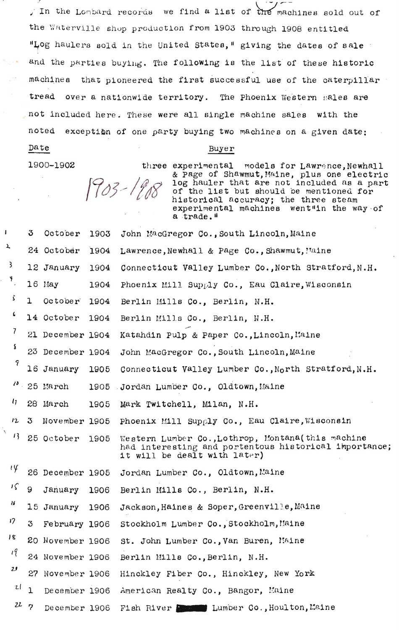In the Lombard records we find a list of the machines sold out of the Waterville shop production from 1903 through 1908 entitled "Log haulers sold in the United States," giving the dates of sale and the parties buying. The following is the list of these historic machines that pioneered the first successful use of the caterpillar tread over a nationwide territory. The Phoenix Western sales are not included here. These were all single machine sales with the noted exception of one party buying two machines on a given date: Date

## Buyer

1900-1902

 $1903 - 190$ 

three experimental models for Lawrence, Newhall & Page of Shawmut, Maine, plus one electric<br>log hauler that are not included as a part<br>of the list but should be mentioned for historical accuracy; the three steam experimental machines went"in the way of a trade."

|            | 3            | October          | 1903 | John MacGregor Co., South Lincoln, Maine                                                                                                    |
|------------|--------------|------------------|------|---------------------------------------------------------------------------------------------------------------------------------------------|
|            |              | 24 October       | 1904 | Lawrence, Newhall & Page Co., Shawmut, Maine                                                                                                |
| 3          |              | 12 January       | 1904 | Connecticut Valley Lumber Co., North Stratford, N.H.                                                                                        |
| ۴.         |              | $16$ May         | 1904 | Phoenix Mill Supply Co., Eau Claire, Wisconsin                                                                                              |
| \$         | ı            | October          | 1904 | Berlin Mills Co., Berlin, N.H.                                                                                                              |
| 6          |              | 14 October       | 1904 | Berlin Mills Co., Berlin, N.H.                                                                                                              |
| 7          |              | 21 December 1904 |      | Katahdin Pulp & Paper Co., Lincoln, Maine                                                                                                   |
| s          |              | 23 December 1904 |      | John MacGregor Co., South Lincoln, Maine                                                                                                    |
| 9          |              | 16 January       | 1905 | Connecticut Valley Lumber Co., North Stratford, N.H.                                                                                        |
| $\theta$ . |              | 25 March         | 1905 | Jordan Lumber Co., Oldtown, Maine                                                                                                           |
| $\iota$    |              | 28 March         | 1905 | Mark Twitchell, Milan, N.H.                                                                                                                 |
| 12         | 3            | November 1905    |      | Phoenix Mill Supply Co., Eau Claire, Wisconsin                                                                                              |
| 13         |              | 25 October       | 1905 | Western Lumber Co., Lothrop, Montana (this machine<br>had interesting and portentous historical importance;<br>it will be dealt with later) |
| ιy         |              | 26 December 1905 |      | Jordan Lumber Co., Oldtown, Maine                                                                                                           |
| ıς         | 9            | January          | 1906 | Berlin Mills Co., Berlin, N.H.                                                                                                              |
| 16         |              | 15 January       | 1906 | Jackson, Haines & Soper, Greenville, Maine                                                                                                  |
| 17         | 3            | February 1906    |      | Stockholm Lumber Co., Stockholm, Maine                                                                                                      |
| । ९        |              | 20 November 1906 |      | St. John Lumber Co., Van Buren, Maine                                                                                                       |
| 19         |              | 24 November 1906 |      | Berlin Mills Co., Berlin, N.H.                                                                                                              |
| 2J         |              | 27 November 1906 |      | Hinckley Fiber Co., Hinckley, New York                                                                                                      |
| ιl         | $\mathbf{1}$ | December 1906    |      | American Realty Co., Bangor, Maine                                                                                                          |
| 227        |              | December 1906    |      | Fish River I Lumber Co., Houlton, Maine                                                                                                     |